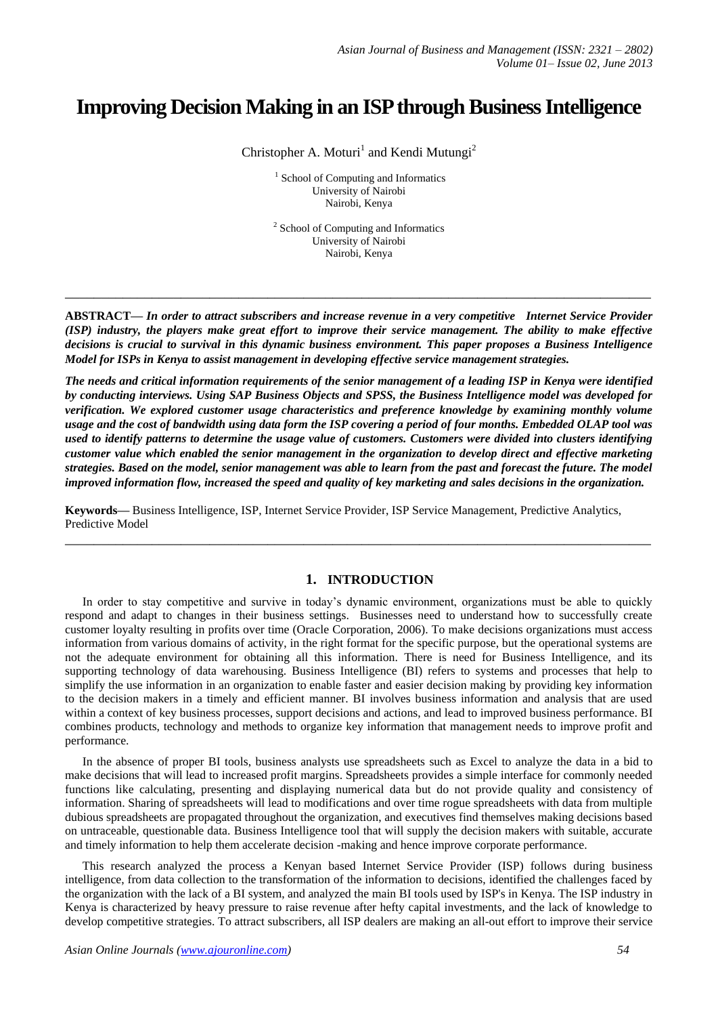# **Improving Decision Making in an ISP through Business Intelligence**

Christopher A. Moturi<sup>1</sup> and Kendi Mutungi<sup>2</sup>

<sup>1</sup> School of Computing and Informatics University of Nairobi Nairobi, Kenya

<sup>2</sup> School of Computing and Informatics University of Nairobi Nairobi, Kenya

**ABSTRACT—** *In order to attract subscribers and increase revenue in a very competitive Internet Service Provider (ISP) industry, the players make great effort to improve their service management. The ability to make effective decisions is crucial to survival in this dynamic business environment. This paper proposes a Business Intelligence Model for ISPs in Kenya to assist management in developing effective service management strategies.*

**\_\_\_\_\_\_\_\_\_\_\_\_\_\_\_\_\_\_\_\_\_\_\_\_\_\_\_\_\_\_\_\_\_\_\_\_\_\_\_\_\_\_\_\_\_\_\_\_\_\_\_\_\_\_\_\_\_\_\_\_\_\_\_\_\_\_\_\_\_\_\_\_\_\_\_\_\_\_\_\_\_**

*The needs and critical information requirements of the senior management of a leading ISP in Kenya were identified by conducting interviews. Using SAP Business Objects and SPSS, the Business Intelligence model was developed for verification. We explored customer usage characteristics and preference knowledge by examining monthly volume usage and the cost of bandwidth using data form the ISP covering a period of four months. Embedded OLAP tool was used to identify patterns to determine the usage value of customers. Customers were divided into clusters identifying customer value which enabled the senior management in the organization to develop direct and effective marketing strategies. Based on the model, senior management was able to learn from the past and forecast the future. The model improved information flow, increased the speed and quality of key marketing and sales decisions in the organization.*

**Keywords—** Business Intelligence, ISP, Internet Service Provider, ISP Service Management, Predictive Analytics, Predictive Model

**\_\_\_\_\_\_\_\_\_\_\_\_\_\_\_\_\_\_\_\_\_\_\_\_\_\_\_\_\_\_\_\_\_\_\_\_\_\_\_\_\_\_\_\_\_\_\_\_\_\_\_\_\_\_\_\_\_\_\_\_\_\_\_\_\_\_\_\_\_\_\_\_\_\_\_\_\_\_\_\_\_**

# **1. INTRODUCTION**

In order to stay competitive and survive in today's dynamic environment, organizations must be able to quickly respond and adapt to changes in their business settings. Businesses need to understand how to successfully create customer loyalty resulting in profits over time (Oracle Corporation, 2006). To make decisions organizations must access information from various domains of activity, in the right format for the specific purpose, but the operational systems are not the adequate environment for obtaining all this information. There is need for Business Intelligence, and its supporting technology of data warehousing. Business Intelligence (BI) refers to systems and processes that help to simplify the use information in an organization to enable faster and easier decision making by providing key information to the decision makers in a timely and efficient manner. BI involves business information and analysis that are used within a context of key business processes, support decisions and actions, and lead to improved business performance. BI combines products, technology and methods to organize key information that management needs to improve profit and performance.

In the absence of proper BI tools, business analysts use spreadsheets such as Excel to analyze the data in a bid to make decisions that will lead to increased profit margins. Spreadsheets provides a simple interface for commonly needed functions like calculating, presenting and displaying numerical data but do not provide quality and consistency of information. Sharing of spreadsheets will lead to modifications and over time rogue spreadsheets with data from multiple dubious spreadsheets are propagated throughout the organization, and executives find themselves making decisions based on untraceable, questionable data. Business Intelligence tool that will supply the decision makers with suitable, accurate and timely information to help them accelerate decision -making and hence improve corporate performance.

This research analyzed the process a Kenyan based Internet Service Provider (ISP) follows during business intelligence, from data collection to the transformation of the information to decisions, identified the challenges faced by the organization with the lack of a BI system, and analyzed the main BI tools used by ISP's in Kenya. The ISP industry in Kenya is characterized by heavy pressure to raise revenue after hefty capital investments, and the lack of knowledge to develop competitive strategies. To attract subscribers, all ISP dealers are making an all-out effort to improve their service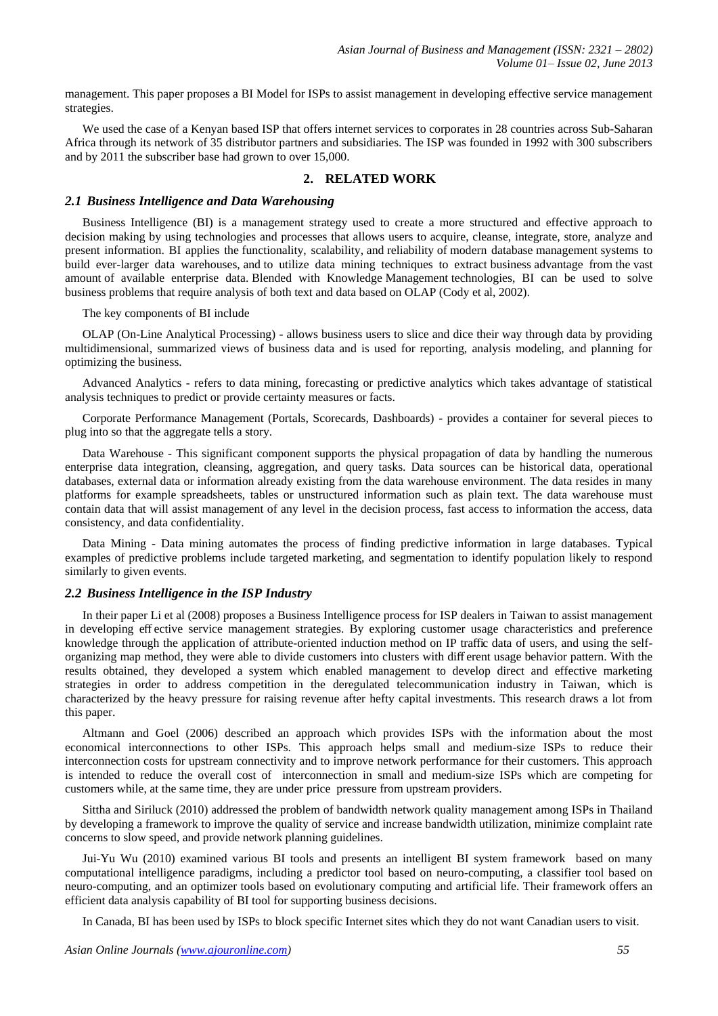management. This paper proposes a BI Model for ISPs to assist management in developing effective service management strategies.

We used the case of a Kenyan based ISP that offers internet services to corporates in 28 countries across Sub-Saharan Africa through its network of 35 distributor partners and subsidiaries. The ISP was founded in 1992 with 300 subscribers and by 2011 the subscriber base had grown to over 15,000.

## **2. RELATED WORK**

#### *2.1 Business Intelligence and Data Warehousing*

Business Intelligence (BI) is a management strategy used to create a more structured and effective approach to decision making by using technologies and processes that allows users to acquire, cleanse, integrate, store, analyze and present information. BI applies the functionality, scalability, and reliability of modern database management systems to build ever-larger data warehouses, and to utilize data mining techniques to extract business advantage from the vast amount of available enterprise data. Blended with Knowledge Management technologies, BI can be used to solve business problems that require analysis of both text and data based on OLAP (Cody et al, 2002).

The key components of BI include

OLAP (On-Line Analytical Processing) - allows business users to slice and dice their way through data by providing multidimensional, summarized views of business data and is used for reporting, analysis modeling, and planning for optimizing the business.

Advanced Analytics - refers to data mining, forecasting or predictive analytics which takes advantage of statistical analysis techniques to predict or provide certainty measures or facts.

Corporate Performance Management (Portals, Scorecards, Dashboards) - provides a container for several pieces to plug into so that the aggregate tells a story.

Data Warehouse - This significant component supports the physical propagation of data by handling the numerous enterprise data integration, cleansing, aggregation, and query tasks. Data sources can be historical data, operational databases, external data or information already existing from the data warehouse environment. The data resides in many platforms for example spreadsheets, tables or unstructured information such as plain text. The data warehouse must contain data that will assist management of any level in the decision process, fast access to information the access, data consistency, and data confidentiality.

Data Mining - Data mining automates the process of finding predictive information in large databases. Typical examples of predictive problems include targeted marketing, and segmentation to identify population likely to respond similarly to given events.

#### *2.2 Business Intelligence in the ISP Industry*

In their paper Li et al (2008) proposes a Business Intelligence process for ISP dealers in Taiwan to assist management in developing eff ective service management strategies. By exploring customer usage characteristics and preference knowledge through the application of attribute-oriented induction method on IP traffic data of users, and using the selforganizing map method, they were able to divide customers into clusters with diff erent usage behavior pattern. With the results obtained, they developed a system which enabled management to develop direct and effective marketing strategies in order to address competition in the deregulated telecommunication industry in Taiwan, which is characterized by the heavy pressure for raising revenue after hefty capital investments. This research draws a lot from this paper.

Altmann and Goel (2006) described an approach which provides ISPs with the information about the most economical interconnections to other ISPs. This approach helps small and medium-size ISPs to reduce their interconnection costs for upstream connectivity and to improve network performance for their customers. This approach is intended to reduce the overall cost of interconnection in small and medium-size ISPs which are competing for customers while, at the same time, they are under price pressure from upstream providers.

Sittha and Siriluck (2010) addressed the problem of bandwidth network quality management among ISPs in Thailand by developing a framework to improve the quality of service and increase bandwidth utilization, minimize complaint rate concerns to slow speed, and provide network planning guidelines.

Jui-Yu Wu (2010) examined various BI tools and presents an intelligent BI system framework based on many computational intelligence paradigms, including a predictor tool based on neuro-computing, a classifier tool based on neuro-computing, and an optimizer tools based on evolutionary computing and artificial life. Their framework offers an efficient data analysis capability of BI tool for supporting business decisions.

In Canada, BI has been used by ISPs to block specific Internet sites which they do not want Canadian users to visit.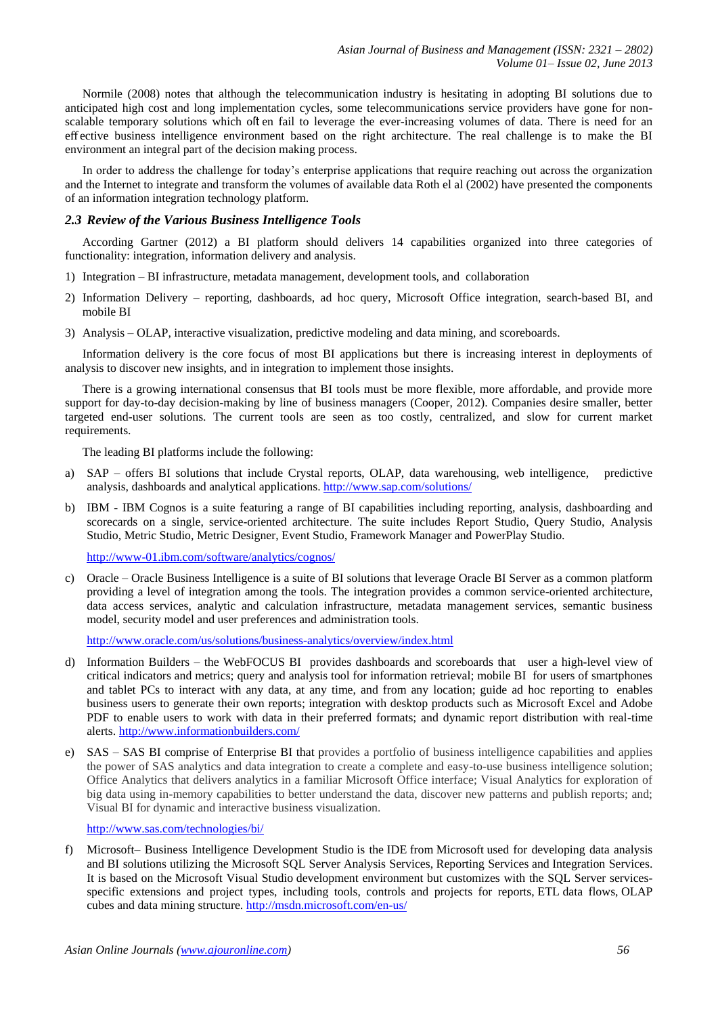Normile (2008) notes that although the telecommunication industry is hesitating in adopting BI solutions due to anticipated high cost and long implementation cycles, some telecommunications service providers have gone for nonscalable temporary solutions which oft en fail to leverage the ever-increasing volumes of data. There is need for an eff ective business intelligence environment based on the right architecture. The real challenge is to make the BI environment an integral part of the decision making process.

In order to address the challenge for today's enterprise applications that require reaching out across the organization and the Internet to integrate and transform the volumes of available data Roth el al (2002) have presented the components of an information integration technology platform.

### *2.3 Review of the Various Business Intelligence Tools*

According Gartner (2012) a BI platform should delivers 14 capabilities organized into three categories of functionality: integration, information delivery and analysis.

- 1) Integration BI infrastructure, metadata management, development tools, and collaboration
- 2) Information Delivery reporting, dashboards, ad hoc query, Microsoft Office integration, search-based BI, and mobile BI
- 3) Analysis OLAP, interactive visualization, predictive modeling and data mining, and scoreboards.

Information delivery is the core focus of most BI applications but there is increasing interest in deployments of analysis to discover new insights, and in integration to implement those insights.

There is a growing international consensus that BI tools must be more flexible, more affordable, and provide more support for day-to-day decision-making by line of business managers (Cooper, 2012). Companies desire smaller, better targeted end-user solutions. The current tools are seen as too costly, centralized, and slow for current market requirements.

The leading BI platforms include the following:

- a) SAP offers BI solutions that include Crystal reports, OLAP, data warehousing, web intelligence, predictive analysis, dashboards and analytical applications. <http://www.sap.com/solutions/>
- b) IBM IBM Cognos is a suite featuring a range of BI capabilities including reporting, analysis, dashboarding and scorecards on a single, service-oriented architecture. The suite includes Report Studio, Query Studio, Analysis Studio, Metric Studio, Metric Designer, Event Studio, Framework Manager and PowerPlay Studio.

<http://www-01.ibm.com/software/analytics/cognos/>

c) Oracle – Oracle Business Intelligence is a suite of BI solutions that leverage Oracle BI Server as a common platform providing a level of integration among the tools. The integration provides a common service-oriented architecture, data access services, analytic and calculation infrastructure, metadata management services, semantic business model, security model and user preferences and administration tools.

<http://www.oracle.com/us/solutions/business-analytics/overview/index.html>

- d) Information Builders the WebFOCUS BI provides dashboards and scoreboards that user a high-level view of critical indicators and metrics; query and analysis tool for information retrieval; mobile BI for users of smartphones and tablet PCs to interact with any data, at any time, and from any location; guide ad hoc reporting to enables business users to generate their own reports; integration with desktop products such as Microsoft Excel and Adobe PDF to enable users to work with data in their preferred formats; and dynamic report distribution with real-time alerts[. http://www.informationbuilders.com/](http://www.informationbuilders.com/)
- e) SAS SAS BI comprise of Enterprise BI that provides a portfolio of business intelligence capabilities and applies the power of SAS analytics and data integration to create a complete and easy-to-use business intelligence solution; Office Analytics that delivers analytics in a familiar Microsoft Office interface; Visual Analytics for exploration of big data using in-memory capabilities to better understand the data, discover new patterns and publish reports; and; Visual BI for dynamic and interactive business visualization.

<http://www.sas.com/technologies/bi/>

f) Microsoft– Business Intelligence Development Studio is the IDE from Microsoft used for developing data analysis and BI solutions utilizing the Microsoft SQL Server Analysis Services, Reporting Services and Integration Services. It is based on the Microsoft Visual Studio development environment but customizes with the SQL Server servicesspecific extensions and project types, including tools, controls and projects for reports, ETL data flows, OLAP cubes and data mining structure. <http://msdn.microsoft.com/en-us/>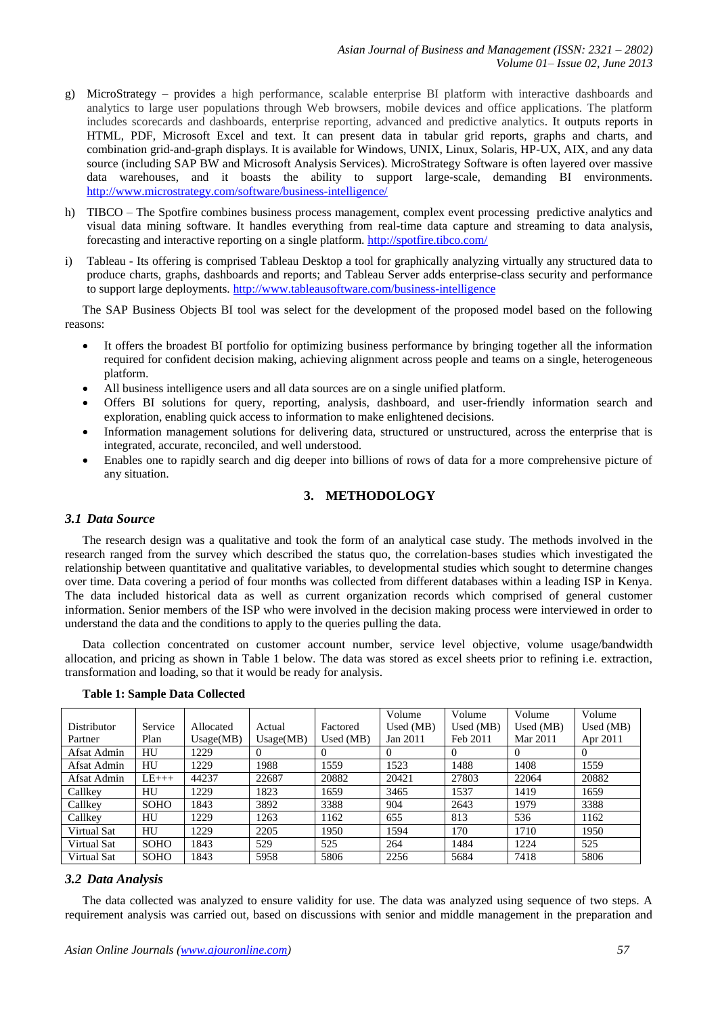- g) MicroStrategy provides a high performance, scalable enterprise BI platform with interactive dashboards and analytics to large user populations through Web browsers, mobile devices and office applications. The platform includes scorecards and dashboards, enterprise reporting, advanced and predictive analytics. It outputs reports in HTML, PDF, Microsoft Excel and text. It can present data in tabular grid reports, graphs and charts, and combination grid-and-graph displays. It is available for Windows, UNIX, Linux, Solaris, HP-UX, AIX, and any data source (including SAP BW and Microsoft Analysis Services). MicroStrategy Software is often layered over massive data warehouses, and it boasts the ability to support large-scale, demanding BI environments. <http://www.microstrategy.com/software/business-intelligence/>
- h) TIBCO The Spotfire combines business process management, complex event processing predictive analytics and visual data mining software. It handles everything from real-time data capture and streaming to data analysis, forecasting and interactive reporting on a single platform.<http://spotfire.tibco.com/>
- i) Tableau Its offering is comprised Tableau Desktop a tool for graphically analyzing virtually any structured data to produce charts, graphs, dashboards and reports; and Tableau Server adds enterprise-class security and performance to support large deployments.<http://www.tableausoftware.com/business-intelligence>

The SAP Business Objects BI tool was select for the development of the proposed model based on the following reasons:

- It offers the broadest BI portfolio for optimizing business performance by bringing together all the information required for confident decision making, achieving alignment across people and teams on a single, heterogeneous platform.
- All business intelligence users and all data sources are on a single unified platform.
- Offers BI solutions for query, reporting, analysis, dashboard, and user-friendly information search and exploration, enabling quick access to information to make enlightened decisions.
- Information management solutions for delivering data, structured or unstructured, across the enterprise that is integrated, accurate, reconciled, and well understood.
- Enables one to rapidly search and dig deeper into billions of rows of data for a more comprehensive picture of any situation.

# **3. METHODOLOGY**

### *3.1 Data Source*

The research design was a qualitative and took the form of an analytical case study. The methods involved in the research ranged from the survey which described the status quo, the correlation-bases studies which investigated the relationship between quantitative and qualitative variables, to developmental studies which sought to determine changes over time. Data covering a period of four months was collected from different databases within a leading ISP in Kenya. The data included historical data as well as current organization records which comprised of general customer information. Senior members of the ISP who were involved in the decision making process were interviewed in order to understand the data and the conditions to apply to the queries pulling the data.

Data collection concentrated on customer account number, service level objective, volume usage/bandwidth allocation, and pricing as shown in Table 1 below. The data was stored as excel sheets prior to refining i.e. extraction, transformation and loading, so that it would be ready for analysis.

|             |             |           |           |             | Volume      | Volume      | Volume      | Volume      |
|-------------|-------------|-----------|-----------|-------------|-------------|-------------|-------------|-------------|
| Distributor | Service     | Allocated | Actual    | Factored    | Used $(MB)$ | Used $(MB)$ | Used $(MB)$ | Used $(MB)$ |
| Partner     | Plan        | Usage(MB) | Usage(MB) | Used $(MB)$ | Jan 2011    | Feb 2011    | Mar 2011    | Apr 2011    |
| Afsat Admin | HU          | 1229      | 0         |             | $\Omega$    | $\Omega$    | $\theta$    | 0           |
| Afsat Admin | HU          | 1229      | 1988      | 1559        | 1523        | 1488        | 1408        | 1559        |
| Afsat Admin | $LE$ +++    | 44237     | 22687     | 20882       | 20421       | 27803       | 22064       | 20882       |
| Callkey     | HU          | 1229      | 1823      | 1659        | 3465        | 1537        | 1419        | 1659        |
| Callkey     | <b>SOHO</b> | 1843      | 3892      | 3388        | 904         | 2643        | 1979        | 3388        |
| Callkey     | HU          | 1229      | 1263      | 1162        | 655         | 813         | 536         | 1162        |
| Virtual Sat | HU          | 1229      | 2205      | 1950        | 1594        | 170         | 1710        | 1950        |
| Virtual Sat | <b>SOHO</b> | 1843      | 529       | 525         | 264         | 1484        | 1224        | 525         |
| Virtual Sat | <b>SOHO</b> | 1843      | 5958      | 5806        | 2256        | 5684        | 7418        | 5806        |

#### **Table 1: Sample Data Collected**

### *3.2 Data Analysis*

The data collected was analyzed to ensure validity for use. The data was analyzed using sequence of two steps. A requirement analysis was carried out, based on discussions with senior and middle management in the preparation and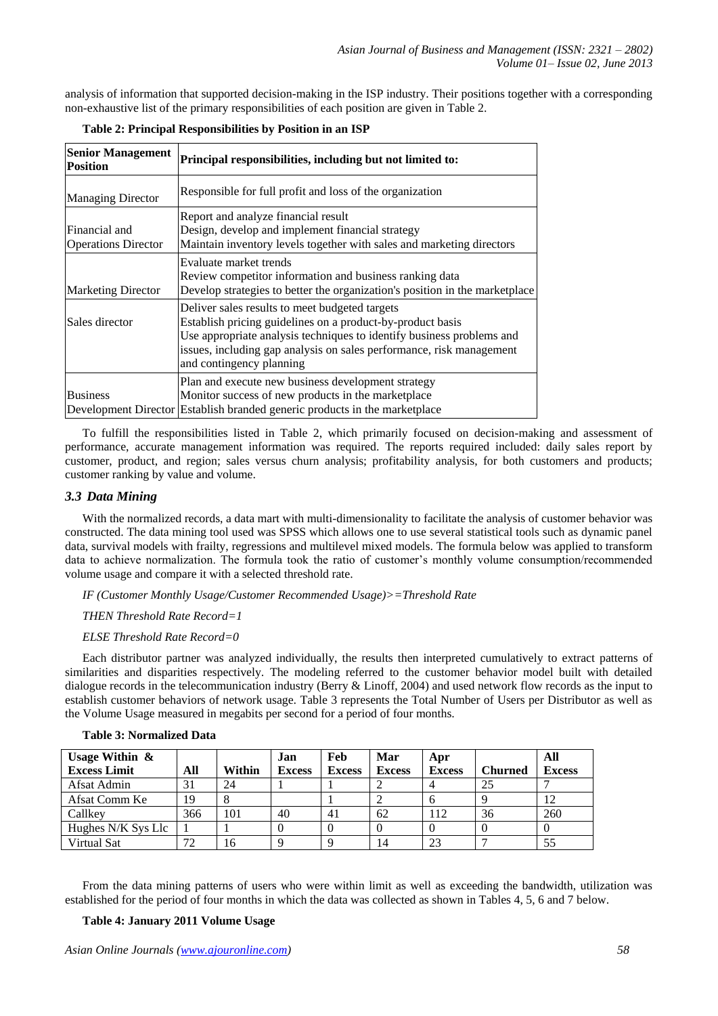analysis of information that supported decision-making in the ISP industry. Their positions together with a corresponding non-exhaustive list of the primary responsibilities of each position are given in Table 2.

| <b>Senior Management</b><br><b>Position</b> | Principal responsibilities, including but not limited to:                                                                                                                                                                                                                                 |
|---------------------------------------------|-------------------------------------------------------------------------------------------------------------------------------------------------------------------------------------------------------------------------------------------------------------------------------------------|
| <b>Managing Director</b>                    | Responsible for full profit and loss of the organization                                                                                                                                                                                                                                  |
| Financial and<br><b>Operations Director</b> | Report and analyze financial result<br>Design, develop and implement financial strategy<br>Maintain inventory levels together with sales and marketing directors                                                                                                                          |
| <b>Marketing Director</b>                   | Evaluate market trends<br>Review competitor information and business ranking data<br>Develop strategies to better the organization's position in the marketplace                                                                                                                          |
| Sales director                              | Deliver sales results to meet budgeted targets<br>Establish pricing guidelines on a product-by-product basis<br>Use appropriate analysis techniques to identify business problems and<br>issues, including gap analysis on sales performance, risk management<br>and contingency planning |
| <b>Business</b>                             | Plan and execute new business development strategy<br>Monitor success of new products in the marketplace<br>Development Director Establish branded generic products in the marketplace                                                                                                    |

| Table 2: Principal Responsibilities by Position in an ISP |  |  |  |  |  |
|-----------------------------------------------------------|--|--|--|--|--|
|-----------------------------------------------------------|--|--|--|--|--|

To fulfill the responsibilities listed in Table 2, which primarily focused on decision-making and assessment of performance, accurate management information was required. The reports required included: daily sales report by customer, product, and region; sales versus churn analysis; profitability analysis, for both customers and products; customer ranking by value and volume.

### *3.3 Data Mining*

With the normalized records, a data mart with multi-dimensionality to facilitate the analysis of customer behavior was constructed. The data mining tool used was SPSS which allows one to use several statistical tools such as dynamic panel data, survival models with frailty, regressions and multilevel mixed models. The formula below was applied to transform data to achieve normalization. The formula took the ratio of customer's monthly volume consumption/recommended volume usage and compare it with a selected threshold rate.

*IF (Customer Monthly Usage/Customer Recommended Usage)>=Threshold Rate*

*THEN Threshold Rate Record=1*

### *ELSE Threshold Rate Record=0*

Each distributor partner was analyzed individually, the results then interpreted cumulatively to extract patterns of similarities and disparities respectively. The modeling referred to the customer behavior model built with detailed dialogue records in the telecommunication industry (Berry & Linoff, 2004) and used network flow records as the input to establish customer behaviors of network usage. Table 3 represents the Total Number of Users per Distributor as well as the Volume Usage measured in megabits per second for a period of four months.

| Usage Within $\&$   |     |        | Jan           | Feb           | Mar           | Apr           |                | All           |
|---------------------|-----|--------|---------------|---------------|---------------|---------------|----------------|---------------|
| <b>Excess Limit</b> | All | Within | <b>Excess</b> | <b>Excess</b> | <b>Excess</b> | <b>Excess</b> | <b>Churned</b> | <b>Excess</b> |
| Afsat Admin         | 31  | 24     |               |               |               |               | 25             |               |
| Afsat Comm Ke       | 19  | Ω      |               |               |               | o             |                |               |
| Callkey             | 366 | 101    | 40            | 41            | 62            | .12           | 36             | 260           |
| Hughes N/K Sys Llc  |     |        |               |               |               |               |                |               |
| Virtual Sat         | 72  | 16     | $\Omega$      |               | 14            | 23            |                | 55            |

#### **Table 3: Normalized Data**

From the data mining patterns of users who were within limit as well as exceeding the bandwidth, utilization was established for the period of four months in which the data was collected as shown in Tables 4, 5, 6 and 7 below.

#### **Table 4: January 2011 Volume Usage**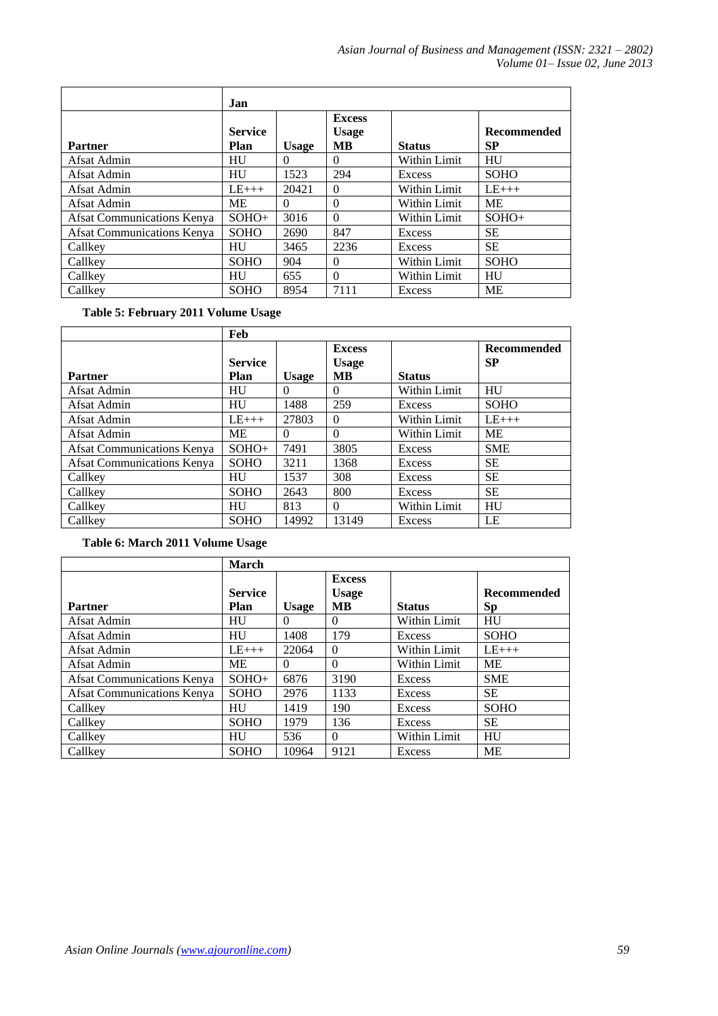|                            | <b>Jan</b>             |              |                                     |               |                                 |
|----------------------------|------------------------|--------------|-------------------------------------|---------------|---------------------------------|
| <b>Partner</b>             | <b>Service</b><br>Plan | <b>Usage</b> | <b>Excess</b><br><b>Usage</b><br>MВ | <b>Status</b> | <b>Recommended</b><br><b>SP</b> |
| Afsat Admin                | <b>HU</b>              | $\Omega$     | $\Omega$                            | Within Limit  | HU                              |
| Afsat Admin                | <b>HU</b>              | 1523         | 294                                 | Excess        | <b>SOHO</b>                     |
| Afsat Admin                | $LE_{+++}$             | 20421        | $\Omega$                            | Within Limit  | $LE+++$                         |
| Afsat Admin                | ME                     | $\Omega$     | $\Omega$                            | Within Limit  | <b>ME</b>                       |
| Afsat Communications Kenya | $SOHO+$                | 3016         | $\Omega$                            | Within Limit  | $SOHO+$                         |
| Afsat Communications Kenya | SOHO                   | 2690         | 847                                 | Excess        | SЕ                              |
| Callkey                    | <b>HU</b>              | 3465         | 2236                                | Excess        | <b>SE</b>                       |
| Callkey                    | <b>SOHO</b>            | 904          | $\Omega$                            | Within Limit  | <b>SOHO</b>                     |
| Callkey                    | <b>HU</b>              | 655          | $\Omega$                            | Within Limit  | HU                              |
| Callkey                    | <b>SOHO</b>            | 8954         | 7111                                | Excess        | <b>ME</b>                       |

**Table 5: February 2011 Volume Usage**

|                            | Feb            |              |               |               |                    |
|----------------------------|----------------|--------------|---------------|---------------|--------------------|
|                            |                |              | <b>Excess</b> |               | <b>Recommended</b> |
|                            | <b>Service</b> |              | <b>Usage</b>  |               | <b>SP</b>          |
| <b>Partner</b>             | Plan           | <b>Usage</b> | <b>MB</b>     | <b>Status</b> |                    |
| Afsat Admin                | HU             | $\Omega$     | $\Omega$      | Within Limit  | HU                 |
| Afsat Admin                | HU             | 1488         | 259           | Excess        | <b>SOHO</b>        |
| Afsat Admin                | $LE+++$        | 27803        | $\Omega$      | Within Limit  | $LE+++$            |
| Afsat Admin                | МE             | $\Omega$     | $\Omega$      | Within Limit  | МE                 |
| Afsat Communications Kenya | $SOHO+$        | 7491         | 3805          | Excess        | <b>SME</b>         |
| Afsat Communications Kenya | <b>SOHO</b>    | 3211         | 1368          | Excess        | <b>SE</b>          |
| Callkey                    | HU             | 1537         | 308           | Excess        | <b>SE</b>          |
| Callkey                    | <b>SOHO</b>    | 2643         | 800           | Excess        | <b>SE</b>          |
| Callkey                    | HU             | 813          | $\Omega$      | Within Limit  | HU                 |
| Callkey                    | <b>SOHO</b>    | 14992        | 13149         | Excess        | LE                 |

**Table 6: March 2011 Volume Usage**

|                            | <b>March</b>           |              |                                            |               |                                 |
|----------------------------|------------------------|--------------|--------------------------------------------|---------------|---------------------------------|
| <b>Partner</b>             | <b>Service</b><br>Plan | <b>Usage</b> | <b>Excess</b><br><b>Usage</b><br><b>MB</b> | <b>Status</b> | <b>Recommended</b><br><b>Sp</b> |
| Afsat Admin                | HU                     | $\theta$     | $\theta$                                   | Within Limit  | HU                              |
| Afsat Admin                | HU                     | 1408         | 179                                        | Excess        | <b>SOHO</b>                     |
| Afsat Admin                | $LE+++$                | 22064        | $\Omega$                                   | Within Limit  | $LE_{+++}$                      |
| Afsat Admin                | <b>ME</b>              | $\Omega$     | $\theta$                                   | Within Limit  | ME                              |
| Afsat Communications Kenya | $SOHO+$                | 6876         | 3190                                       | Excess        | <b>SME</b>                      |
| Afsat Communications Kenya | <b>SOHO</b>            | 2976         | 1133                                       | Excess        | <b>SE</b>                       |
| Callkey                    | <b>HU</b>              | 1419         | 190                                        | Excess        | <b>SOHO</b>                     |
| Callkey                    | <b>SOHO</b>            | 1979         | 136                                        | Excess        | <b>SE</b>                       |
| Callkey                    | <b>HU</b>              | 536          | $\Omega$                                   | Within Limit  | <b>HU</b>                       |
| Callkey                    | <b>SOHO</b>            | 10964        | 9121                                       | Excess        | ME                              |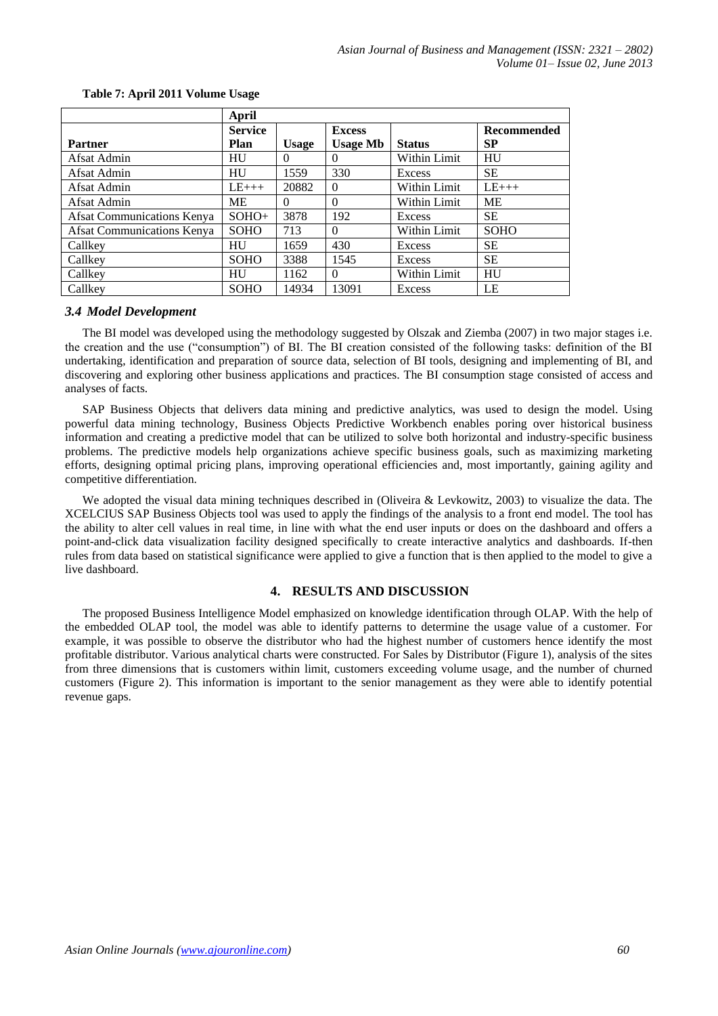|                            | April          |              |                 |               |             |
|----------------------------|----------------|--------------|-----------------|---------------|-------------|
|                            | <b>Service</b> |              | <b>Excess</b>   |               | Recommended |
| <b>Partner</b>             | Plan           | <b>Usage</b> | <b>Usage Mb</b> | <b>Status</b> | SP          |
| Afsat Admin                | HU             | 0            | 0               | Within Limit  | HU          |
| Afsat Admin                | HU             | 1559         | 330             | Excess        | <b>SE</b>   |
| Afsat Admin                | $LE+++$        | 20882        | $\Omega$        | Within Limit  | $LE+++$     |
| Afsat Admin                | МE             | $\Omega$     | $\theta$        | Within Limit  | <b>ME</b>   |
| Afsat Communications Kenya | $SOHO+$        | 3878         | 192             | Excess        | <b>SE</b>   |
| Afsat Communications Kenya | <b>SOHO</b>    | 713          | $\Omega$        | Within Limit  | <b>SOHO</b> |
| Callkey                    | HU             | 1659         | 430             | Excess        | SЕ          |
| Callkey                    | <b>SOHO</b>    | 3388         | 1545            | Excess        | <b>SE</b>   |
| Callkey                    | HU             | 1162         | $\Omega$        | Within Limit  | HU          |
| Callkey                    | <b>SOHO</b>    | 14934        | 13091           | Excess        | LE          |

### **Table 7: April 2011 Volume Usage**

#### *3.4 Model Development*

The BI model was developed using the methodology suggested by Olszak and Ziemba (2007) in two major stages i.e. the creation and the use ("consumption") of BI. The BI creation consisted of the following tasks: definition of the BI undertaking, identification and preparation of source data, selection of BI tools, designing and implementing of BI, and discovering and exploring other business applications and practices. The BI consumption stage consisted of access and analyses of facts.

SAP Business Objects that delivers data mining and predictive analytics, was used to design the model. Using powerful data mining technology, Business Objects Predictive Workbench enables poring over historical business information and creating a predictive model that can be utilized to solve both horizontal and industry-specific business problems. The predictive models help organizations achieve specific business goals, such as maximizing marketing efforts, designing optimal pricing plans, improving operational efficiencies and, most importantly, gaining agility and competitive differentiation.

We adopted the visual data mining techniques described in (Oliveira & Levkowitz, 2003) to visualize the data. The XCELCIUS SAP Business Objects tool was used to apply the findings of the analysis to a front end model. The tool has the ability to alter cell values in real time, in line with what the end user inputs or does on the dashboard and offers a point-and-click data visualization facility designed specifically to create interactive analytics and dashboards. If-then rules from data based on statistical significance were applied to give a function that is then applied to the model to give a live dashboard.

# **4. RESULTS AND DISCUSSION**

The proposed Business Intelligence Model emphasized on knowledge identification through OLAP. With the help of the embedded OLAP tool, the model was able to identify patterns to determine the usage value of a customer. For example, it was possible to observe the distributor who had the highest number of customers hence identify the most profitable distributor. Various analytical charts were constructed. For Sales by Distributor (Figure 1), analysis of the sites from three dimensions that is customers within limit, customers exceeding volume usage, and the number of churned customers (Figure 2). This information is important to the senior management as they were able to identify potential revenue gaps.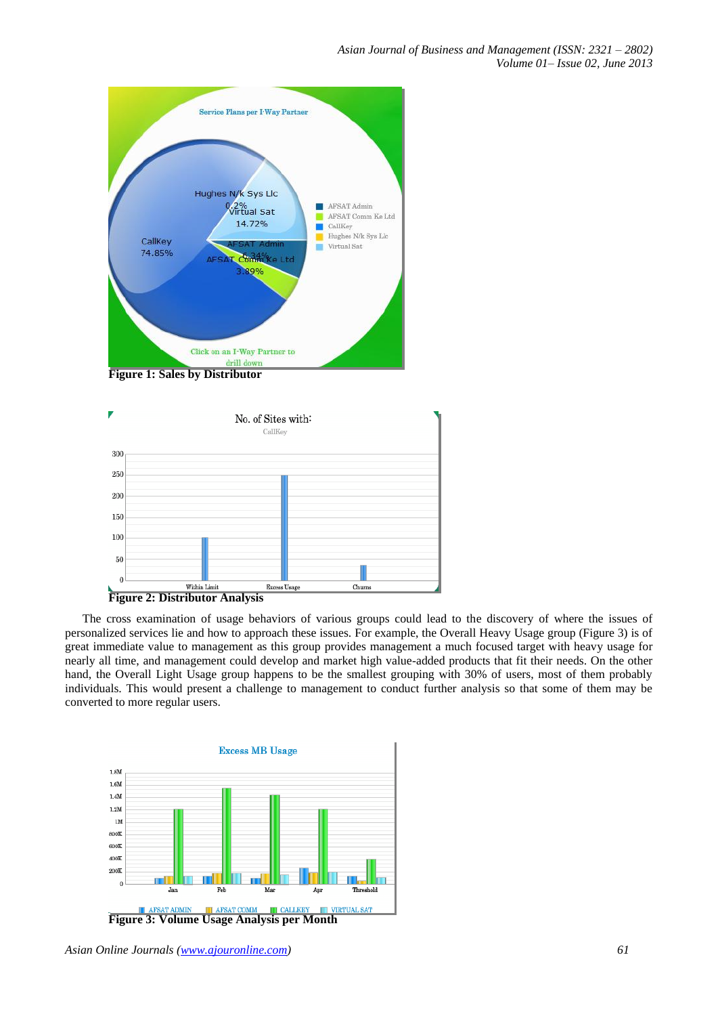



The cross examination of usage behaviors of various groups could lead to the discovery of where the issues of personalized services lie and how to approach these issues. For example, the Overall Heavy Usage group (Figure 3) is of great immediate value to management as this group provides management a much focused target with heavy usage for nearly all time, and management could develop and market high value-added products that fit their needs. On the other hand, the Overall Light Usage group happens to be the smallest grouping with 30% of users, most of them probably individuals. This would present a challenge to management to conduct further analysis so that some of them may be converted to more regular users.

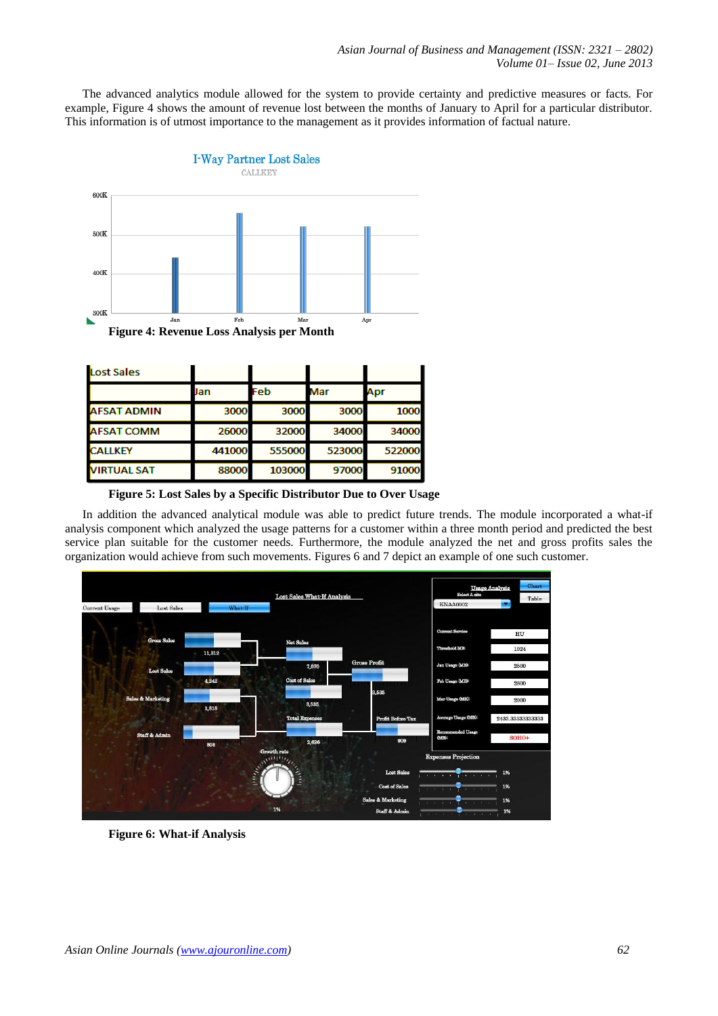The advanced analytics module allowed for the system to provide certainty and predictive measures or facts. For example, Figure 4 shows the amount of revenue lost between the months of January to April for a particular distributor. This information is of utmost importance to the management as it provides information of factual nature.



| Lost Sales         |        |        |        |        |
|--------------------|--------|--------|--------|--------|
|                    | Jan    | Feb    | Mar    | Apr    |
| <b>AFSAT ADMIN</b> | 3000   | 3000   | 3000   | 1000   |
| <b>AFSAT COMM</b>  | 26000  | 32000  | 34000  | 34000  |
| <b>CALLKEY</b>     | 441000 | 555000 | 523000 | 522000 |
| <b>VIRTUAL SAT</b> | 88000  | 103000 | 97000  | 91000  |

**Figure 5: Lost Sales by a Specific Distributor Due to Over Usage**

In addition the advanced analytical module was able to predict future trends. The module incorporated a what-if analysis component which analyzed the usage patterns for a customer within a three month period and predicted the best service plan suitable for the customer needs. Furthermore, the module analyzed the net and gross profits sales the organization would achieve from such movements. Figures 6 and 7 depict an example of one such customer.



**Figure 6: What-if Analysis**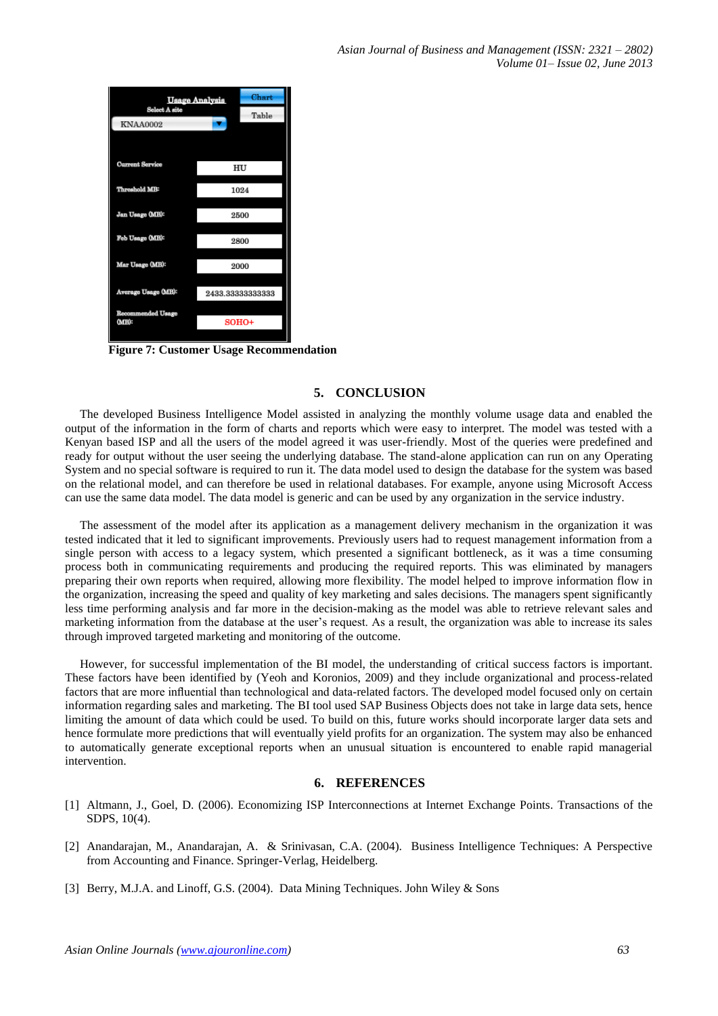| Usage Analysis           | Chart         |                  |  |  |
|--------------------------|---------------|------------------|--|--|
| <b>KNAA0002</b>          | Select A site |                  |  |  |
|                          |               |                  |  |  |
|                          |               |                  |  |  |
| <b>Current Service</b>   |               | HU               |  |  |
| Threshold MB:            |               | 1024             |  |  |
|                          |               |                  |  |  |
| Jan Usage (MB):          |               | 2500             |  |  |
| Feb Usage (MB):          |               | 2800             |  |  |
|                          |               |                  |  |  |
| Mar Usage (MB):          |               | 2000             |  |  |
| Average Usage (MB):      |               | 2433.33333333333 |  |  |
| <b>Recommended Usage</b> |               |                  |  |  |
| (MB):                    | $SOHO+$       |                  |  |  |
|                          |               |                  |  |  |

**Figure 7: Customer Usage Recommendation**

# **5. CONCLUSION**

The developed Business Intelligence Model assisted in analyzing the monthly volume usage data and enabled the output of the information in the form of charts and reports which were easy to interpret. The model was tested with a Kenyan based ISP and all the users of the model agreed it was user-friendly. Most of the queries were predefined and ready for output without the user seeing the underlying database. The stand-alone application can run on any Operating System and no special software is required to run it. The data model used to design the database for the system was based on the relational model, and can therefore be used in relational databases. For example, anyone using Microsoft Access can use the same data model. The data model is generic and can be used by any organization in the service industry.

The assessment of the model after its application as a management delivery mechanism in the organization it was tested indicated that it led to significant improvements. Previously users had to request management information from a single person with access to a legacy system, which presented a significant bottleneck, as it was a time consuming process both in communicating requirements and producing the required reports. This was eliminated by managers preparing their own reports when required, allowing more flexibility. The model helped to improve information flow in the organization, increasing the speed and quality of key marketing and sales decisions. The managers spent significantly less time performing analysis and far more in the decision-making as the model was able to retrieve relevant sales and marketing information from the database at the user's request. As a result, the organization was able to increase its sales through improved targeted marketing and monitoring of the outcome.

However, for successful implementation of the BI model, the understanding of critical success factors is important. These factors have been identified by (Yeoh and Koronios, 2009) and they include organizational and process-related factors that are more influential than technological and data-related factors. The developed model focused only on certain information regarding sales and marketing. The BI tool used SAP Business Objects does not take in large data sets, hence limiting the amount of data which could be used. To build on this, future works should incorporate larger data sets and hence formulate more predictions that will eventually yield profits for an organization. The system may also be enhanced to automatically generate exceptional reports when an unusual situation is encountered to enable rapid managerial intervention.

# **6. REFERENCES**

- [1] Altmann, J., Goel, D. (2006). [Economizing ISP Interconnections at Internet Exchange Points.](http://www.my-groups.de/altmann/images/Publications/Journals/2006/economizing_isp_altmann_goel_06.pdf) Transactions of the SDPS, 10(4).
- [2] Anandarajan, M., Anandarajan, A. & Srinivasan, C.A. (2004). Business Intelligence Techniques: A Perspective from Accounting and Finance. Springer-Verlag, Heidelberg.
- [3] Berry, M.J.A. and Linoff, G.S. (2004). Data Mining Techniques. John Wiley & Sons